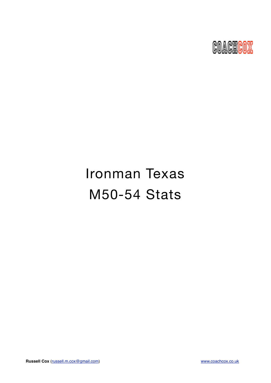

# Ironman Texas M50-54 Stats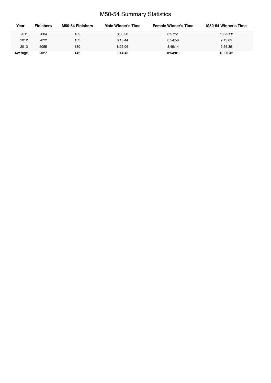# M50-54 Summary Statistics

| Year    | <b>Finishers</b> | <b>M50-54 Finishers</b> | Male Winner's Time | <b>Female Winner's Time</b> | <b>M50-54 Winner's Time</b> |
|---------|------------------|-------------------------|--------------------|-----------------------------|-----------------------------|
| 2011    | 2004             | 162                     | 8:08:20            | 8:57:51                     | 10:22:22                    |
| 2012    | 2022             | 133                     | 8:10:44            | 8:54:58                     | 9:43:05                     |
| 2013    | 2055             | 130                     | 8:25:06            | 8:49:14                     | 9:56:39                     |
| Average | 2027             | 142                     | 8:14:43            | 8:54:01                     | 10:00:42                    |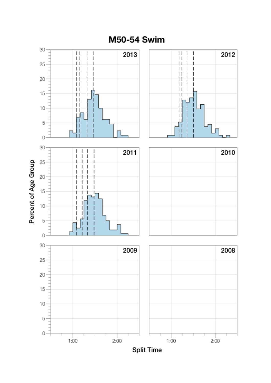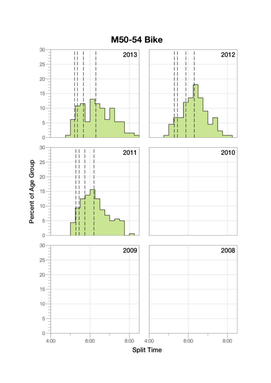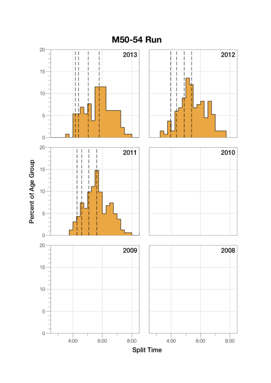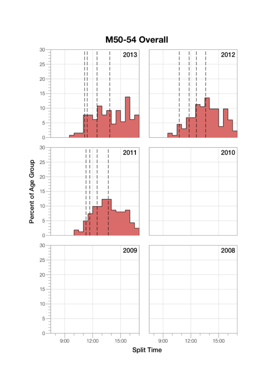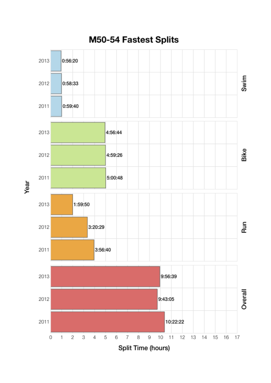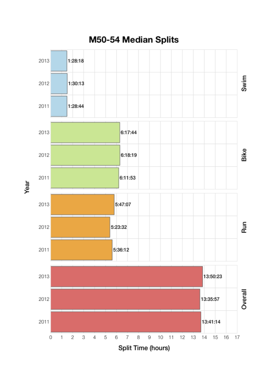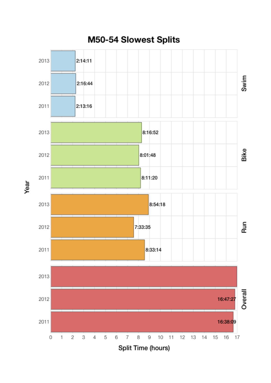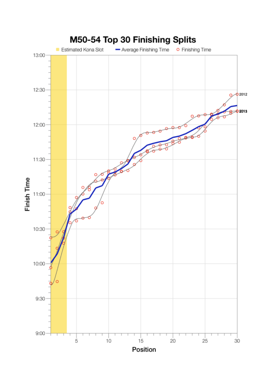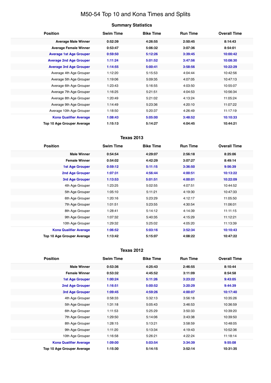# M50-54 Top 10 and Kona Times and Splits

## **Summary Statistics**

| <b>Position</b>                   | <b>Swim Time</b> | <b>Bike Time</b> | <b>Run Time</b> | <b>Overall Time</b> |
|-----------------------------------|------------------|------------------|-----------------|---------------------|
| <b>Average Male Winner</b>        | 0:52:39          | 4:26:55          | 2:50:45         | 8:14:43             |
| <b>Average Female Winner</b>      | 0:53:47          | 5:06:32          | 3:07:36         | 8:54:01             |
| <b>Average 1st Age Grouper</b>    | 0:59:50          | 5:12:26          | 3:39:45         | 10:00:42            |
| <b>Average 2nd Age Grouper</b>    | 1:11:24          | 5:01:52          | 3:47:56         | 10:08:30            |
| <b>Average 3rd Age Grouper</b>    | 1:14:55          | 5:00:41          | 3:58:56         | 10:22:29            |
| Average 4th Age Grouper           | 1:12:20          | 5:15:53          | 4:04:44         | 10:42:56            |
| Average 5th Age Grouper           | 1:19:06          | 5:09:35          | 4:07:05         | 10:47:13            |
| Average 6th Age Grouper           | 1:23:43          | 5:16:55          | 4:03:50         | 10:55:07            |
| Average 7th Age Grouper           | 1:16:25          | 5:21:51          | 4:04:53         | 10:56:34            |
| Average 8th Age Grouper           | 1:20:49          | 5:21:02          | 4:13:24         | 11:05:24            |
| Average 9th Age Grouper           | 1:14:49          | 5:23:36          | 4:20:10         | 11:07:22            |
| Average 10th Age Grouper          | 1:18:50          | 5:20:37          | 4:26:49         | 11:17:19            |
| <b>Kona Qualifier Average</b>     | 1:08:43          | 5:05:00          | 3:48:52         | 10:10:33            |
| <b>Top 10 Age Grouper Average</b> | 1:15:13          | 5:14:27          | 4:04:45         | 10:44:21            |

## **Texas 2013**

| <b>Position</b>                   | <b>Swim Time</b> | <b>Bike Time</b> | <b>Run Time</b> | <b>Overall Time</b> |
|-----------------------------------|------------------|------------------|-----------------|---------------------|
| <b>Male Winner</b>                | 0:54:54          | 4:29:07          | 2:56:18         | 8:25:06             |
| <b>Female Winner</b>              | 0:54:02          | 4:42:29          | 3:07:27         | 8:49:14             |
| <b>1st Age Grouper</b>            | 0:59:12          | 5:11:15          | 3:36:50         | 9:56:39             |
| <b>2nd Age Grouper</b>            | 1:07:31          | 4:56:44          | 4:00:51         | 10:13:22            |
| 3rd Age Grouper                   | 1:13:53          | 5:01:51          | 4:00:01         | 10:22:09            |
| 4th Age Grouper                   | 1:23:25          | 5:02:55          | 4:07:51         | 10:44:52            |
| 5th Age Grouper                   | 1:05:10          | 5:11:21          | 4:19:30         | 10:47:33            |
| 6th Age Grouper                   | 1:20:16          | 5:23:29          | 4:12:17         | 11:05:50            |
| 7th Age Grouper                   | 1:01:51          | 5:23:55          | 4:30:54         | 11:06:01            |
| 8th Age Grouper                   | 1:28:41          | 5:14:12          | 4:14:39         | 11:11:15            |
| 9th Age Grouper                   | 1:07:32          | 5:40:35          | 4:15:29         | 11:12:21            |
| 10th Age Grouper                  | 1:29:32          | 5:25:02          | 4:05:20         | 11:13:39            |
| <b>Kona Qualifier Average</b>     | 1:06:52          | 5:03:16          | 3:52:34         | 10:10:43            |
| <b>Top 10 Age Grouper Average</b> | 1:13:42          | 5:15:07          | 4:08:22         | 10:47:22            |

#### **Texas 2012**

| <b>Position</b>                   | <b>Swim Time</b> | <b>Bike Time</b> | <b>Run Time</b> | <b>Overall Time</b> |
|-----------------------------------|------------------|------------------|-----------------|---------------------|
| <b>Male Winner</b>                | 0:53:36          | 4:25:43          | 2:46:55         | 8:10:44             |
| <b>Female Winner</b>              | 0:53:32          | 4:45:52          | 3:11:09         | 8:54:58             |
| <b>1st Age Grouper</b>            | 1:00:24          | 5:11:26          | 3:23:22         | 9:43:05             |
| <b>2nd Age Grouper</b>            | 1:16:51          | 5:00:52          | 3:20:29         | 9:44:39             |
| 3rd Age Grouper                   | 1:09:45          | 4:59:26          | 4:00:07         | 10:17:40            |
| 4th Age Grouper                   | 0:58:33          | 5:32:13          | 3:56:18         | 10:35:26            |
| 5th Age Grouper                   | 1:31:18          | 5:05:43          | 3:46:53         | 10:36:59            |
| 6th Age Grouper                   | 1:11:53          | 5:25:29          | 3:50:33         | 10:39:20            |
| 7th Age Grouper                   | 1:29:50          | 5:14:06          | 3:43:38         | 10:39:50            |
| 8th Age Grouper                   | 1:28:15          | 5:13:21          | 3:58:59         | 10:48:05            |
| 9th Age Grouper                   | 1:11:20          | 5:13:34          | 4:19:43         | 10:52:36            |
| 10th Age Grouper                  | 1:16:58          | 5:26:21          | 4:22:24         | 11:18:14            |
| <b>Kona Qualifier Average</b>     | 1:09:00          | 5:03:54          | 3:34:39         | 9:55:08             |
| <b>Top 10 Age Grouper Average</b> | 1:15:30          | 5:14:15          | 3:52:14         | 10:31:35            |